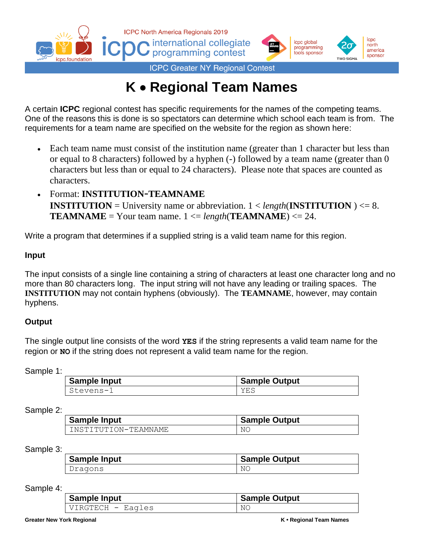

## **K** • **Regional Team Names**

A certain **ICPC** regional contest has specific requirements for the names of the competing teams. One of the reasons this is done is so spectators can determine which school each team is from. The requirements for a team name are specified on the website for the region as shown here:

- Each team name must consist of the institution name (greater than 1 character but less than or equal to 8 characters) followed by a hyphen (-) followed by a team name (greater than 0 characters but less than or equal to 24 characters). Please note that spaces are counted as characters.
- Format: **INSTITUTION**-**TEAMNAME INSTITUTION** = University name or abbreviation. 1 < *length*(**INSTITUTION** ) <= 8. **TEAMNAME** = Your team name.  $1 \leq length(\textbf{TEAMNAME}) \leq 24$ .

Write a program that determines if a supplied string is a valid team name for this region.

## **Input**

The input consists of a single line containing a string of characters at least one character long and no more than 80 characters long. The input string will not have any leading or trailing spaces. The **INSTITUTION** may not contain hyphens (obviously). The **TEAMNAME**, however, may contain hyphens.

## **Output**

The single output line consists of the word **YES** if the string represents a valid team name for the region or **NO** if the string does not represent a valid team name for the region.

Sample 1:

| <b>Sample Input</b> | <b>Sample Output</b> |
|---------------------|----------------------|
| Stevens-1           | YES                  |

## Sample 2:

| <b>Sample Input</b>  | <b>Sample Output</b> |
|----------------------|----------------------|
| INSTITUTION-TEAMNAME | ΝC                   |

Sample 3:

| <b>Sample Input</b> | <b>Sample Output</b> |
|---------------------|----------------------|
| Dragons             | ΝC                   |

Sample 4:

| Sample Input      | <b>Sample Output</b> |
|-------------------|----------------------|
| VIRGTECH - Eagles | ΝC                   |